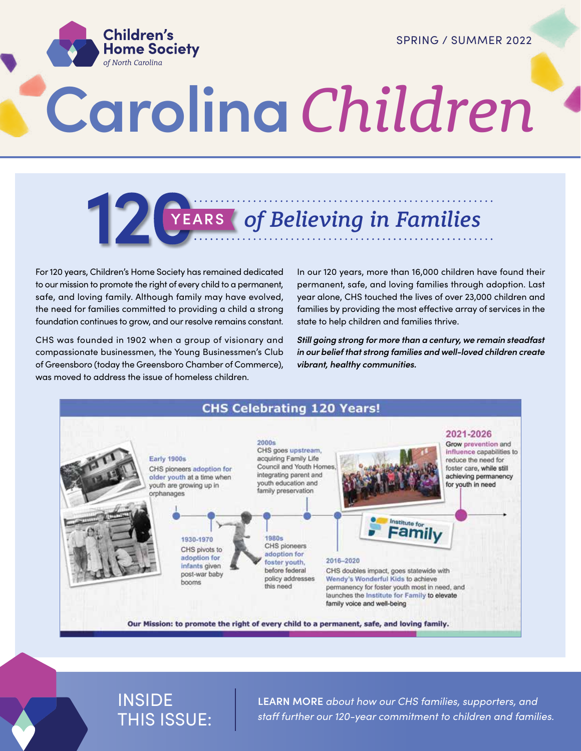SPRING / SUMMER 2022



# **Carolina** *Children*

## **YEARS** *of Believing in Families*

For 120 years, Children's Home Society has remained dedicated to our mission to promote the right of every child to a permanent, safe, and loving family. Although family may have evolved, the need for families committed to providing a child a strong foundation continues to grow, and our resolve remains constant.

CHS was founded in 1902 when a group of visionary and compassionate businessmen, the Young Businessmen's Club of Greensboro (today the Greensboro Chamber of Commerce), was moved to address the issue of homeless children.

In our 120 years, more than 16,000 children have found their permanent, safe, and loving families through adoption. Last year alone, CHS touched the lives of over 23,000 children and families by providing the most effective array of services in the state to help children and families thrive.

*Still going strong for more than a century, we remain steadfast in our belief that strong families and well-loved children create vibrant, healthy communities.*



#### INSIDE THIS ISSUE:

**LEARN MORE** *about how our CHS families, supporters, and staff further our 120-year commitment to children and families.*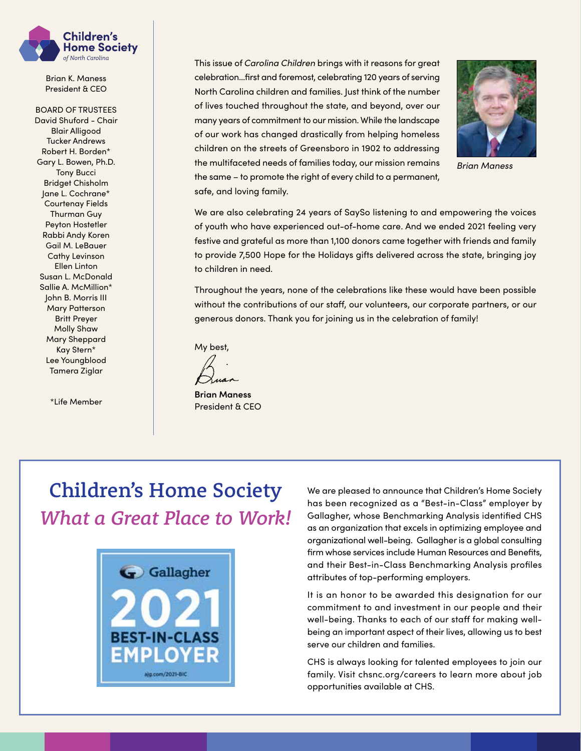

Brian K. Maness President & CEO

BOARD OF TRUSTEES David Shuford - Chair Blair Alligood Tucker Andrews Robert H. Borden\* Gary L. Bowen, Ph.D. Tony Bucci Bridget Chisholm Jane L. Cochrane\* Courtenay Fields Thurman Guy Peyton Hostetler Rabbi Andy Koren Gail M. LeBauer Cathy Levinson Ellen Linton Susan L. McDonald Sallie A. McMillion\* John B. Morris III Mary Patterson Britt Preyer Molly Shaw Mary Sheppard Kay Stern\* Lee Youngblood Tamera Ziglar

\*Life Member

This issue of *Carolina Children* brings with it reasons for great celebration…first and foremost, celebrating 120 years of serving North Carolina children and families. Just think of the number of lives touched throughout the state, and beyond, over our many years of commitment to our mission. While the landscape of our work has changed drastically from helping homeless children on the streets of Greensboro in 1902 to addressing the multifaceted needs of families today, our mission remains the same – to promote the right of every child to a permanent, safe, and loving family.



*Brian Maness*

We are also celebrating 24 years of SaySo listening to and empowering the voices of youth who have experienced out-of-home care. And we ended 2021 feeling very festive and grateful as more than 1,100 donors came together with friends and family to provide 7,500 Hope for the Holidays gifts delivered across the state, bringing joy to children in need.

Throughout the years, none of the celebrations like these would have been possible without the contributions of our staff, our volunteers, our corporate partners, or our generous donors. Thank you for joining us in the celebration of family!

My best,

**Brian Maness** President & CEO

#### Children's Home Society *What a Great Place to Work!*



We are pleased to announce that Children's Home Society has been recognized as a "Best-in-Class" employer by Gallagher, whose Benchmarking Analysis identified CHS as an organization that excels in optimizing employee and organizational well-being. Gallagher is a global consulting firm whose services include Human Resources and Benefits, and their Best-in-Class Benchmarking Analysis profiles attributes of top-performing employers.

It is an honor to be awarded this designation for our commitment to and investment in our people and their well-being. Thanks to each of our staff for making wellbeing an important aspect of their lives, allowing us to best serve our children and families.

CHS is always looking for talented employees to join our family. Visit chsnc.org/careers to learn more about job opportunities available at CHS.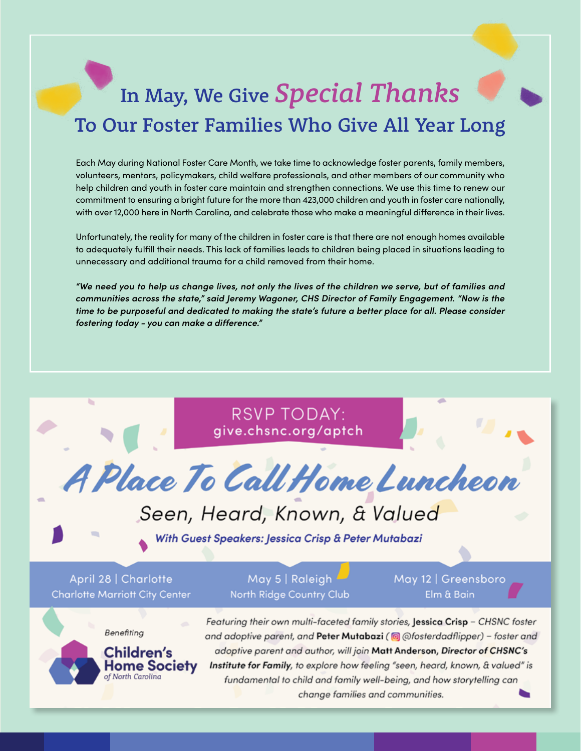## In May, We Give *Special Thanks* To Our Foster Families Who Give All Year Long

Each May during National Foster Care Month, we take time to acknowledge foster parents, family members, volunteers, mentors, policymakers, child welfare professionals, and other members of our community who help children and youth in foster care maintain and strengthen connections. We use this time to renew our commitment to ensuring a bright future for the more than 423,000 children and youth in foster care nationally, with over 12,000 here in North Carolina, and celebrate those who make a meaningful difference in their lives.

Unfortunately, the reality for many of the children in foster care is that there are not enough homes available to adequately fulfill their needs. This lack of families leads to children being placed in situations leading to unnecessary and additional trauma for a child removed from their home.

*"We need you to help us change lives, not only the lives of the children we serve, but of families and communities across the state," said Jeremy Wagoner, CHS Director of Family Engagement. "Now is the time to be purposeful and dedicated to making the state's future a better place for all. Please consider fostering today - you can make a difference."*

> **RSVP TODAY:** give.chsnc.org/aptch

4 Place To Call Home Luncheon

#### Seen, Heard, Known, & Valued

With Guest Speakers: Jessica Crisp & Peter Mutabazi

April 28 | Charlotte **Charlotte Marriott City Center** 

May 5 | Raleigh North Ridge Country Club May 12 | Greensboro Elm & Bain



Featuring their own multi-faceted family stories, Jessica Crisp - CHSNC foster and adoptive parent, and Peter Mutabazi (@@fosterdadflipper) - foster and adoptive parent and author, will join Matt Anderson, Director of CHSNC's Institute for Family, to explore how feeling "seen, heard, known, & valued" is fundamental to child and family well-being, and how storytelling can change families and communities.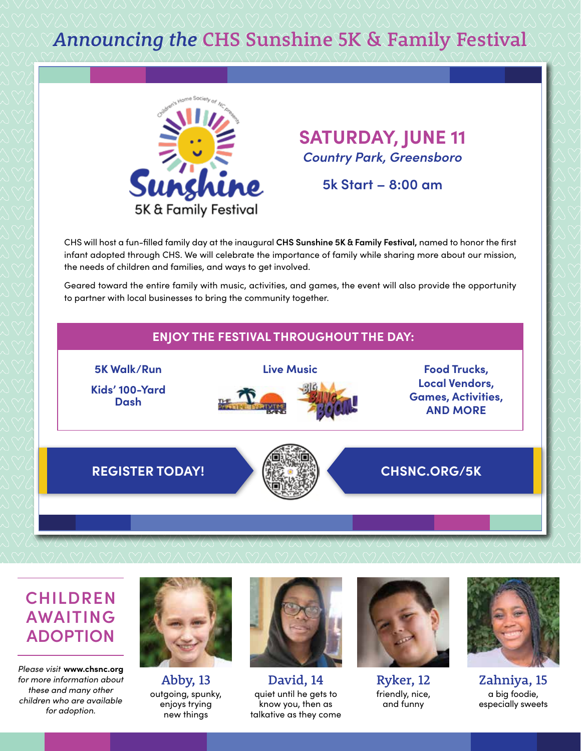#### *Announcing the* CHS Sunshine 5K & Family Festival



#### **SATURDAY, JUNE 11** *Country Park, Greensboro*

**5k Start – 8:00 am**

CHS will host a fun-filled family day at the inaugural **CHS Sunshine 5K & Family Festival,** named to honor the first infant adopted through CHS. We will celebrate the importance of family while sharing more about our mission, the needs of children and families, and ways to get involved.

Geared toward the entire family with music, activities, and games, the event will also provide the opportunity to partner with local businesses to bring the community together.



#### **CHILDREN AWAITING ADOPTION**

*Please visit* **www.chsnc.org**  *for more information about these and many other children who are available for adoption.*



Abby, 13 outgoing, spunky, enjoys trying new things



David, 14 quiet until he gets to know you, then as talkative as they come



Ryker, 12 friendly, nice, and funny



Zahniya, 15 a big foodie, especially sweets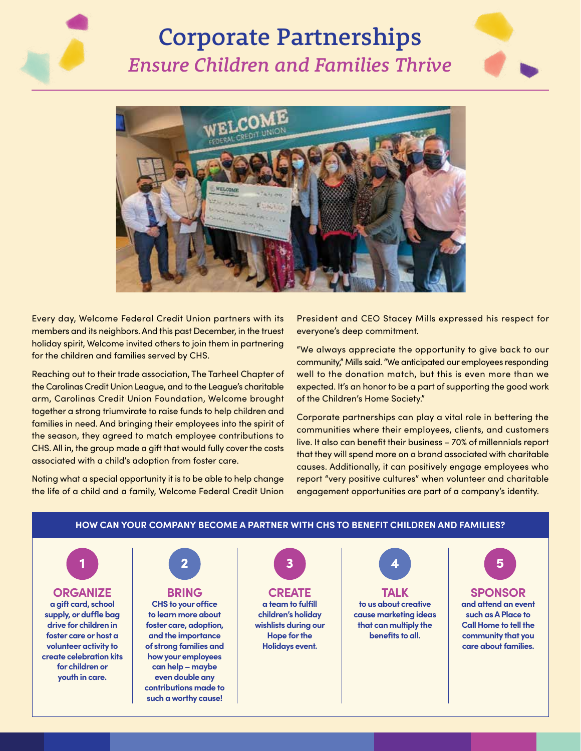### Corporate Partnerships *Ensure Children and Families Thrive*





Every day, Welcome Federal Credit Union partners with its members and its neighbors. And this past December, in the truest holiday spirit, Welcome invited others to join them in partnering for the children and families served by CHS.

Reaching out to their trade association, The Tarheel Chapter of the Carolinas Credit Union League, and to the League's charitable arm, Carolinas Credit Union Foundation, Welcome brought together a strong triumvirate to raise funds to help children and families in need. And bringing their employees into the spirit of the season, they agreed to match employee contributions to CHS. All in, the group made a gift that would fully cover the costs associated with a child's adoption from foster care.

Noting what a special opportunity it is to be able to help change the life of a child and a family, Welcome Federal Credit Union President and CEO Stacey Mills expressed his respect for everyone's deep commitment.

"We always appreciate the opportunity to give back to our community," Mills said. "We anticipated our employees responding well to the donation match, but this is even more than we expected. It's an honor to be a part of supporting the good work of the Children's Home Society."

Corporate partnerships can play a vital role in bettering the communities where their employees, clients, and customers live. It also can benefit their business – 70% of millennials report that they will spend more on a brand associated with charitable causes. Additionally, it can positively engage employees who report "very positive cultures" when volunteer and charitable engagement opportunities are part of a company's identity.



#### **HOW CAN YOUR COMPANY BECOME A PARTNER WITH CHS TO BENEFIT CHILDREN AND FAMILIES?**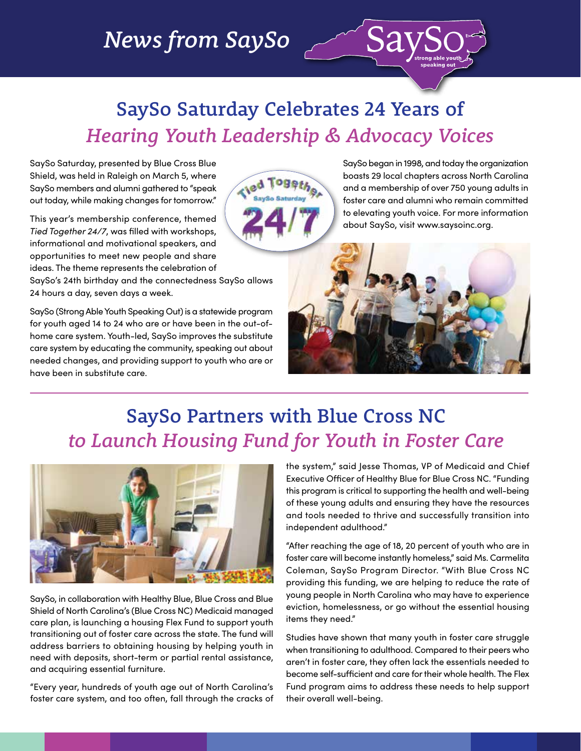#### *News from SaySo*

#### SaySo Saturday Celebrates 24 Years of *Hearing Youth Leadership & Advocacy Voices*

oger

**Tied** 

SaySo Saturday, presented by Blue Cross Blue Shield, was held in Raleigh on March 5, where SaySo members and alumni gathered to "speak out today, while making changes for tomorrow."

This year's membership conference, themed *Tied Together 24/7*, was filled with workshops, informational and motivational speakers, and opportunities to meet new people and share ideas. The theme represents the celebration of

SaySo's 24th birthday and the connectedness SaySo allows 24 hours a day, seven days a week.

SaySo (Strong Able Youth Speaking Out) is a statewide program for youth aged 14 to 24 who are or have been in the out-ofhome care system. Youth-led, SaySo improves the substitute care system by educating the community, speaking out about needed changes, and providing support to youth who are or have been in substitute care.

SaySo began in 1998, and today the organization boasts 29 local chapters across North Carolina and a membership of over 750 young adults in foster care and alumni who remain committed to elevating youth voice. For more information about SaySo, visit www.saysoinc.org.



 $\curvearrowright$  Sa

#### SaySo Partners with Blue Cross NC *to Launch Housing Fund for Youth in Foster Care*



SaySo, in collaboration with Healthy Blue, Blue Cross and Blue Shield of North Carolina's (Blue Cross NC) Medicaid managed care plan, is launching a housing Flex Fund to support youth transitioning out of foster care across the state. The fund will address barriers to obtaining housing by helping youth in need with deposits, short-term or partial rental assistance, and acquiring essential furniture.

"Every year, hundreds of youth age out of North Carolina's foster care system, and too often, fall through the cracks of the system," said Jesse Thomas, VP of Medicaid and Chief Executive Officer of Healthy Blue for Blue Cross NC. "Funding this program is critical to supporting the health and well-being of these young adults and ensuring they have the resources and tools needed to thrive and successfully transition into independent adulthood."

"After reaching the age of 18, 20 percent of youth who are in foster care will become instantly homeless," said Ms. Carmelita Coleman, SaySo Program Director. "With Blue Cross NC providing this funding, we are helping to reduce the rate of young people in North Carolina who may have to experience eviction, homelessness, or go without the essential housing items they need."

Studies have shown that many youth in foster care struggle when transitioning to adulthood. Compared to their peers who aren't in foster care, they often lack the essentials needed to become self-sufficient and care for their whole health. The Flex Fund program aims to address these needs to help support their overall well-being.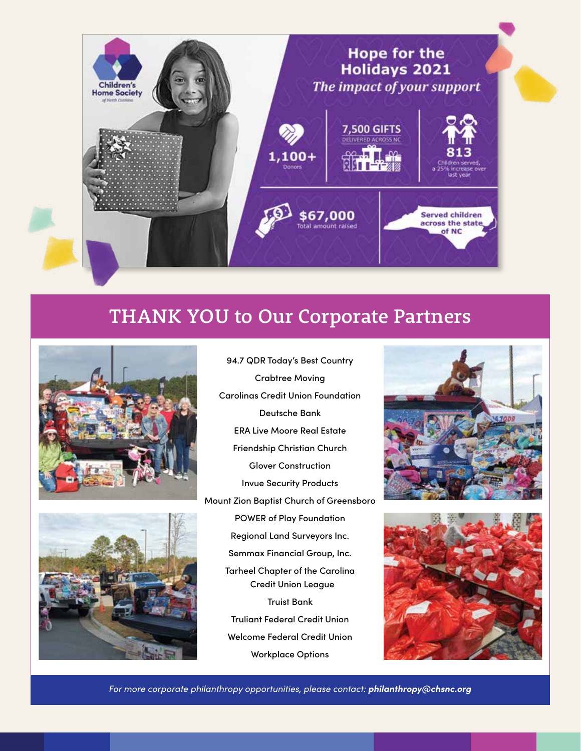

#### THANK YOU to Our Corporate Partners





94.7 QDR Today's Best Country Crabtree Moving Carolinas Credit Union Foundation Deutsche Bank ERA Live Moore Real Estate Friendship Christian Church Glover Construction Invue Security Products Mount Zion Baptist Church of Greensboro POWER of Play Foundation Regional Land Surveyors Inc. Semmax Financial Group, Inc. Tarheel Chapter of the Carolina Credit Union League Truist Bank Truliant Federal Credit Union Welcome Federal Credit Union Workplace Options





*For more corporate philanthropy opportunities, please contact: philanthropy@chsnc.org*